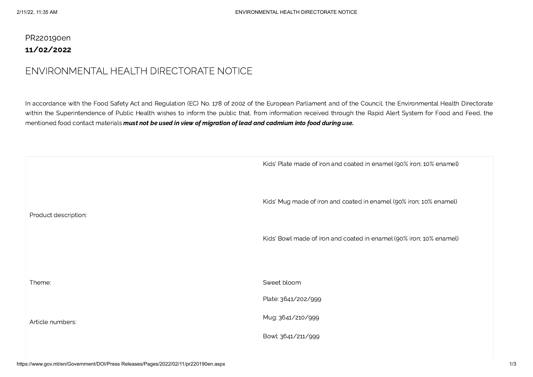## PR220190en 11/02/2022

## ENVIRONMENTAL HEALTH DIRECTORATE NOTICE

In accordance with the Food Safety Act and Regulation (EC) No. 178 of 2002 of the European Parliament and of the Council, the Environmental Health Directorate within the Superintendence of Public Health wishes to inform the public that, from information received through the Rapid Alert System for Food and Feed, the mentioned food contact materials must not be used in view of migration of lead and cadmium into food during use.

|                      | Kids' Plate made of iron and coated in enamel (90% iron; 10% enamel) |
|----------------------|----------------------------------------------------------------------|
| Product description: | Kids' Mug made of iron and coated in enamel (90% iron; 10% enamel)   |
|                      | Kids' Bowl made of iron and coated in enamel (90% iron; 10% enamel)  |
| Theme:               | Sweet bloom                                                          |
| Article numbers:     | Plate: 3641/202/999                                                  |
|                      | Mug: 3641/210/999                                                    |
|                      | Bowl: 3641/211/999                                                   |